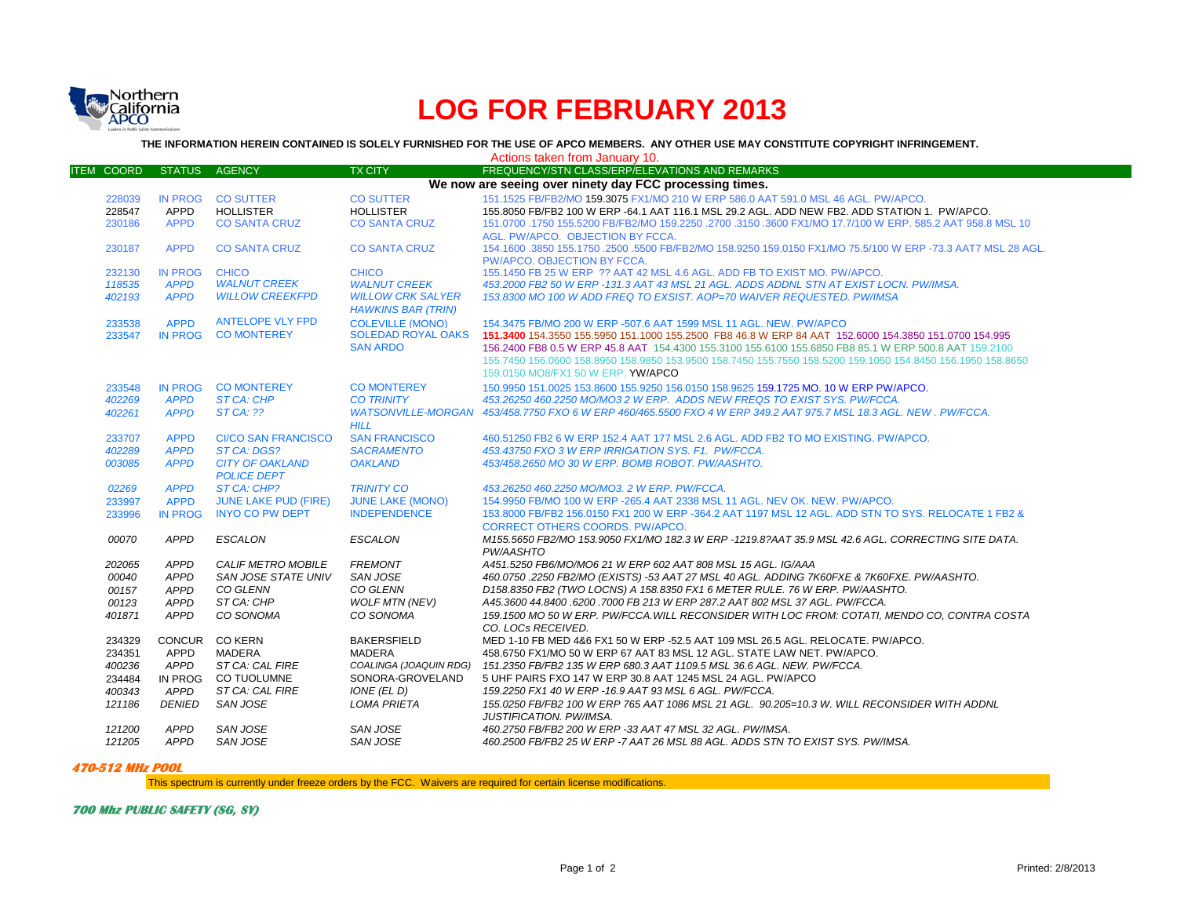

## **LOG FOR FEBRUARY 2013**

**THE INFORMATION HEREIN CONTAINED IS SOLELY FURNISHED FOR THE USE OF APCO MEMBERS. ANY OTHER USE MAY CONSTITUTE COPYRIGHT INFRINGEMENT.**

|                                                         |                |                             |                                                       | Actions taken from January 10.                                                                                    |  |  |  |
|---------------------------------------------------------|----------------|-----------------------------|-------------------------------------------------------|-------------------------------------------------------------------------------------------------------------------|--|--|--|
| <b>ITEM COORD</b>                                       | <b>STATUS</b>  | AGENCY                      | <b>TX CITY</b>                                        | FREQUENCY/STN CLASS/ERP/ELEVATIONS AND REMARKS                                                                    |  |  |  |
| We now are seeing over ninety day FCC processing times. |                |                             |                                                       |                                                                                                                   |  |  |  |
| 228039                                                  |                | IN PROG CO SUTTER           | <b>CO SUTTER</b>                                      | 151.1525 FB/FB2/MO 159.3075 FX1/MO 210 W ERP 586.0 AAT 591.0 MSL 46 AGL, PW/APCO,                                 |  |  |  |
| 228547                                                  | APPD           | <b>HOLLISTER</b>            | <b>HOLLISTER</b>                                      | 155.8050 FB/FB2 100 W ERP -64.1 AAT 116.1 MSL 29.2 AGL. ADD NEW FB2. ADD STATION 1. PW/APCO.                      |  |  |  |
| 230186                                                  | <b>APPD</b>    | <b>CO SANTA CRUZ</b>        | <b>CO SANTA CRUZ</b>                                  | 151.0700 .1750 155.5200 FB/FB2/MO 159.2250 .2700 .3150 .3600 FX1/MO 17.7/100 W ERP, 585.2 AAT 958.8 MSL 10        |  |  |  |
|                                                         |                |                             |                                                       | AGL. PW/APCO. OBJECTION BY FCCA.                                                                                  |  |  |  |
| 230187                                                  | <b>APPD</b>    | <b>CO SANTA CRUZ</b>        | <b>CO SANTA CRUZ</b>                                  | 154.1600 .3850 155.1750 .2500 .5500 FB/FB2/MO 158.9250 159.0150 FX1/MO 75.5/100 W ERP -73.3 AAT7 MSL 28 AGL.      |  |  |  |
|                                                         |                |                             |                                                       | PW/APCO, OBJECTION BY FCCA.                                                                                       |  |  |  |
| 232130                                                  | <b>IN PROG</b> | <b>CHICO</b>                | <b>CHICO</b>                                          | 155.1450 FB 25 W ERP ?? AAT 42 MSL 4.6 AGL. ADD FB TO EXIST MO. PW/APCO.                                          |  |  |  |
| 118535                                                  | <b>APPD</b>    | <b>WALNUT CREEK</b>         | <b>WALNUT CREEK</b>                                   | 453.2000 FB2 50 W ERP -131.3 AAT 43 MSL 21 AGL. ADDS ADDNL STN AT EXIST LOCN. PW/IMSA.                            |  |  |  |
| 402193                                                  | <b>APPD</b>    | <b>WILLOW CREEKFPD</b>      | <b>WILLOW CRK SALYER</b><br><b>HAWKINS BAR (TRIN)</b> | 153.8300 MO 100 W ADD FREQ TO EXSIST. AOP=70 WAIVER REQUESTED. PW/IMSA                                            |  |  |  |
| 233538                                                  | <b>APPD</b>    | <b>ANTELOPE VLY FPD</b>     | <b>COLEVILLE (MONO)</b>                               | 154.3475 FB/MO 200 W ERP -507.6 AAT 1599 MSL 11 AGL, NEW, PW/APCO                                                 |  |  |  |
| 233547                                                  |                | IN PROG CO MONTEREY         | <b>SOLEDAD ROYAL OAKS</b>                             | 151,3400 154,3550 155,5950 151,1000 155,2500 FB8 46.8 W ERP 84 AAT 152,6000 154,3850 151,0700 154,995             |  |  |  |
|                                                         |                |                             | <b>SAN ARDO</b>                                       | 156.2400 FB8 0.5 W ERP 45.8 AAT 154.4300 155.3100 155.6100 155.6850 FB8 85.1 W ERP 500.8 AAT 159.2100             |  |  |  |
|                                                         |                |                             |                                                       | 155,7450 156,0600 158,8950 158,9850 153,9500 158,7450 155,7550 158,5200 159,1050 154,8450 156,1950 158,8650       |  |  |  |
|                                                         |                |                             |                                                       | 159.0150 MO8/FX1 50 W ERP. YW/APCO                                                                                |  |  |  |
| 233548                                                  |                | IN PROG CO MONTEREY         | <b>CO MONTEREY</b>                                    | 150,9950 151,0025 153,8600 155,9250 156,0150 158,9625 159,1725 MO, 10 W ERP PW/APCO,                              |  |  |  |
| 402269                                                  | <b>APPD</b>    | <b>ST CA: CHP</b>           | <b>CO TRINITY</b>                                     | 453.26250 460.2250 MO/MO3 2 W ERP. ADDS NEW FREQS TO EXIST SYS. PW/FCCA.                                          |  |  |  |
| 402261                                                  | <b>APPD</b>    | $STCA:$ ??                  |                                                       | WATSONVILLE-MORGAN 453/458.7750 FXO 6 W ERP 460/465.5500 FXO 4 W ERP 349.2 AAT 975.7 MSL 18.3 AGL. NEW , PW/FCCA, |  |  |  |
|                                                         |                |                             | <b>HILL</b>                                           |                                                                                                                   |  |  |  |
| 233707                                                  | <b>APPD</b>    | <b>CI/CO SAN FRANCISCO</b>  | <b>SAN FRANCISCO</b>                                  | 460,51250 FB2 6 W ERP 152.4 AAT 177 MSL 2.6 AGL, ADD FB2 TO MO EXISTING, PW/APCO,                                 |  |  |  |
| 402289                                                  | <b>APPD</b>    | ST CA: DGS?                 | <b>SACRAMENTO</b>                                     | 453.43750 FXO 3 W ERP IRRIGATION SYS. F1. PW/FCCA.                                                                |  |  |  |
| 003085                                                  | <b>APPD</b>    | <b>CITY OF OAKLAND</b>      | <b>OAKLAND</b>                                        | 453/458.2650 MO 30 W ERP. BOMB ROBOT. PW/AASHTO.                                                                  |  |  |  |
|                                                         |                | <b>POLICE DEPT</b>          |                                                       |                                                                                                                   |  |  |  |
| 02269                                                   | <b>APPD</b>    | ST CA: CHP?                 | <b>TRINITY CO</b>                                     | 453.26250 460.2250 MO/MO3. 2 W ERP. PW/FCCA.                                                                      |  |  |  |
| 233997                                                  | <b>APPD</b>    | <b>JUNE LAKE PUD (FIRE)</b> | <b>JUNE LAKE (MONO)</b>                               | 154,9950 FB/MO 100 W ERP -265.4 AAT 2338 MSL 11 AGL. NEV OK. NEW. PW/APCO.                                        |  |  |  |
| 233996                                                  | <b>IN PROG</b> | <b>INYO CO PW DEPT</b>      | <b>INDEPENDENCE</b>                                   | 153,8000 FB/FB2 156,0150 FX1 200 W ERP -364,2 AAT 1197 MSL 12 AGL, ADD STN TO SYS, RELOCATE 1 FB2 &               |  |  |  |
|                                                         |                |                             |                                                       | <b>CORRECT OTHERS COORDS, PW/APCO.</b>                                                                            |  |  |  |
| 00070                                                   | <b>APPD</b>    | <b>ESCALON</b>              | <b>ESCALON</b>                                        | M155.5650 FB2/MO 153.9050 FX1/MO 182.3 W ERP -1219.8?AAT 35.9 MSL 42.6 AGL. CORRECTING SITE DATA.                 |  |  |  |
|                                                         |                |                             |                                                       | PW/AASHTO                                                                                                         |  |  |  |
| 202065                                                  | <b>APPD</b>    | <b>CALIF METRO MOBILE</b>   | <b>FREMONT</b>                                        | A451.5250 FB6/MO/MO6 21 W ERP 602 AAT 808 MSL 15 AGL. IG/AAA                                                      |  |  |  |
| 00040                                                   | <b>APPD</b>    | SAN JOSE STATE UNIV         | SAN JOSE                                              | 460.0750 .2250 FB2/MO (EXISTS) -53 AAT 27 MSL 40 AGL. ADDING 7K60FXE & 7K60FXE. PW/AASHTO.                        |  |  |  |
| 00157                                                   | <b>APPD</b>    | CO GLENN                    | CO GLENN                                              | D158.8350 FB2 (TWO LOCNS) A 158.8350 FX1 6 METER RULE, 76 W ERP, PW/AASHTO.                                       |  |  |  |
| 00123                                                   | <b>APPD</b>    | ST CA: CHP                  | <b>WOLF MTN (NEV)</b>                                 | A45.3600 44.8400 .6200 .7000 FB 213 W ERP 287.2 AAT 802 MSL 37 AGL. PW/FCCA.                                      |  |  |  |
| 401871                                                  | <b>APPD</b>    | CO SONOMA                   | CO SONOMA                                             | 159.1500 MO 50 W ERP. PW/FCCA.WILL RECONSIDER WITH LOC FROM: COTATI, MENDO CO, CONTRA COSTA                       |  |  |  |
|                                                         |                |                             |                                                       | CO. LOCs RECEIVED.                                                                                                |  |  |  |
| 234329                                                  |                | CONCUR CO KERN              | <b>BAKERSFIELD</b>                                    | MED 1-10 FB MED 4&6 FX1 50 W ERP -52.5 AAT 109 MSL 26.5 AGL. RELOCATE. PW/APCO.                                   |  |  |  |
| 234351                                                  | <b>APPD</b>    | MADERA                      | <b>MADERA</b>                                         | 458.6750 FX1/MO 50 W ERP 67 AAT 83 MSL 12 AGL. STATE LAW NET. PW/APCO.                                            |  |  |  |
| 400236                                                  | APPD           | ST CA: CAL FIRE             |                                                       | COALINGA (JOAQUIN RDG) 151.2350 FB/FB2 135 W ERP 680.3 AAT 1109.5 MSL 36.6 AGL. NEW. PW/FCCA.                     |  |  |  |
| 234484                                                  | IN PROG        | <b>CO TUOLUMNE</b>          | SONORA-GROVELAND                                      | 5 UHF PAIRS FXO 147 W ERP 30.8 AAT 1245 MSL 24 AGL. PW/APCO                                                       |  |  |  |
| 400343                                                  | <b>APPD</b>    | ST CA: CAL FIRE             | IONE (EL D)                                           | 159.2250 FX1 40 W ERP -16.9 AAT 93 MSL 6 AGL. PW/FCCA.                                                            |  |  |  |
| 121186                                                  | DENIED         | SAN JOSE                    | <b>LOMA PRIETA</b>                                    | 155.0250 FB/FB2 100 W ERP 765 AAT 1086 MSL 21 AGL. 90.205=10.3 W. WILL RECONSIDER WITH ADDNL                      |  |  |  |
|                                                         |                |                             |                                                       | <b>JUSTIFICATION, PW/IMSA.</b>                                                                                    |  |  |  |
| 121200                                                  | <b>APPD</b>    | SAN JOSE                    | <b>SAN JOSE</b>                                       | 460.2750 FB/FB2 200 W ERP -33 AAT 47 MSL 32 AGL. PW/IMSA.                                                         |  |  |  |
| 121205                                                  | APPD           | <b>SAN JOSE</b>             | <b>SAN JOSE</b>                                       | 460.2500 FB/FB2 25 W ERP -7 AAT 26 MSL 88 AGL. ADDS STN TO EXIST SYS. PW/IMSA.                                    |  |  |  |

## **470-512 MHz POOL**

This spectrum is currently under freeze orders by the FCC. Waivers are required for certain license modifications.

**700 Mhz PUBLIC SAFETY (SG, SY)**